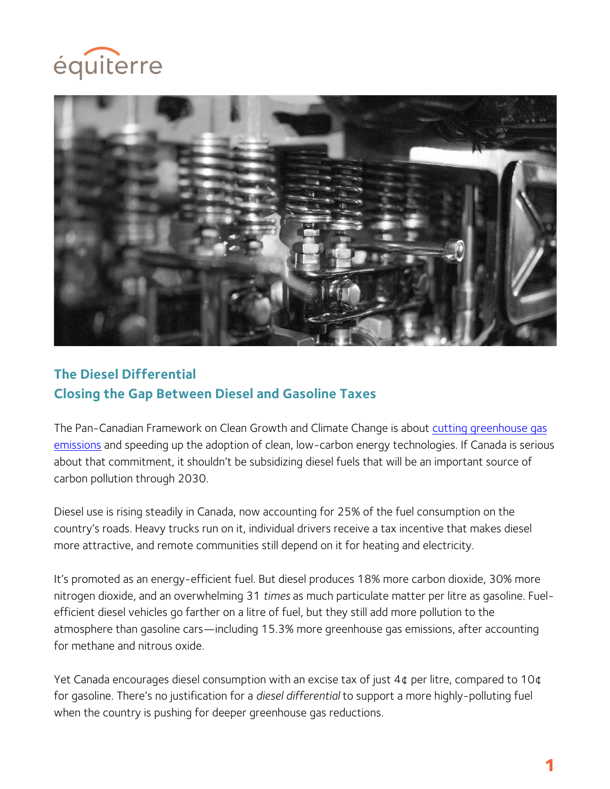



# **The Diesel Differential Closing the Gap Between Diesel and Gasoline Taxes**

The Pan-Canadian Framework on Clean Growth and Climate Change is about cutting greenhouse gas emissions and speeding up the adoption of clean, low-carbon energy technologies. If Canada is serious about that commitment, it shouldn't be subsidizing diesel fuels that will be an important source of carbon pollution through 2030.

Diesel use is rising steadily in Canada, now accounting for 25% of the fuel consumption on the country's roads. Heavy trucks run on it, individual drivers receive a tax incentive that makes diesel more attractive, and remote communities still depend on it for heating and electricity.

It's promoted as an energy-efficient fuel. But diesel produces 18% more carbon dioxide, 30% more nitrogen dioxide, and an overwhelming 31 *times* as much particulate matter per litre as gasoline. Fuelefficient diesel vehicles go farther on a litre of fuel, but they still add more pollution to the atmosphere than gasoline cars—including 15.3% more greenhouse gas emissions, after accounting for methane and nitrous oxide.

Yet Canada encourages diesel consumption with an excise tax of just 4¢ per litre, compared to 10¢ for gasoline. There's no justification for a *diesel differential* to support a more highly-polluting fuel when the country is pushing for deeper greenhouse gas reductions.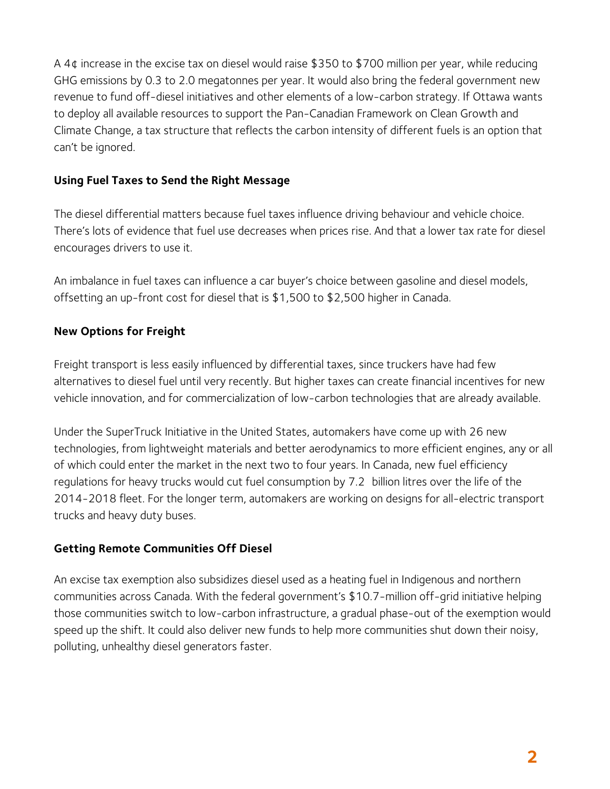A 4¢ increase in the excise tax on diesel would raise \$350 to \$700 million per year, while reducing GHG emissions by 0.3 to 2.0 megatonnes per year. It would also bring the federal government new revenue to fund off-diesel initiatives and other elements of a low-carbon strategy. If Ottawa wants to deploy all available resources to support the Pan-Canadian Framework on Clean Growth and Climate Change, a tax structure that reflects the carbon intensity of different fuels is an option that can't be ignored.

## **Using Fuel Taxes to Send the Right Message**

The diesel differential matters because fuel taxes influence driving behaviour and vehicle choice. There's lots of evidence that fuel use decreases when prices rise. And that a lower tax rate for diesel encourages drivers to use it.

An imbalance in fuel taxes can influence a car buyer's choice between gasoline and diesel models, offsetting an up-front cost for diesel that is \$1,500 to \$2,500 higher in Canada.

## **New Options for Freight**

Freight transport is less easily influenced by differential taxes, since truckers have had few alternatives to diesel fuel until very recently. But higher taxes can create financial incentives for new vehicle innovation, and for commercialization of low-carbon technologies that are already available.

Under the SuperTruck Initiative in the United States, automakers have come up with 26 new technologies, from lightweight materials and better aerodynamics to more efficient engines, any or all of which could enter the market in the next two to four years. In Canada, new fuel efficiency regulations for heavy trucks would cut fuel consumption by 7.2 billion litres over the life of the 2014-2018 fleet. For the longer term, automakers are working on designs for all-electric transport trucks and heavy duty buses.

#### **Getting Remote Communities Off Diesel**

An excise tax exemption also subsidizes diesel used as a heating fuel in Indigenous and northern communities across Canada. With the federal government's \$10.7-million off-grid initiative helping those communities switch to low-carbon infrastructure, a gradual phase-out of the exemption would speed up the shift. It could also deliver new funds to help more communities shut down their noisy, polluting, unhealthy diesel generators faster.